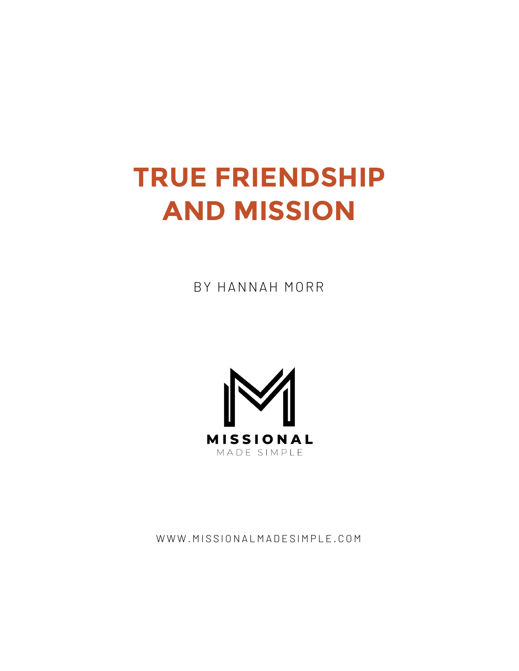# **TRUE FRIENDSHIP AND MISSION**

BY HANNAH MORR



WWW.MISSIONALMADESIMPLE.COM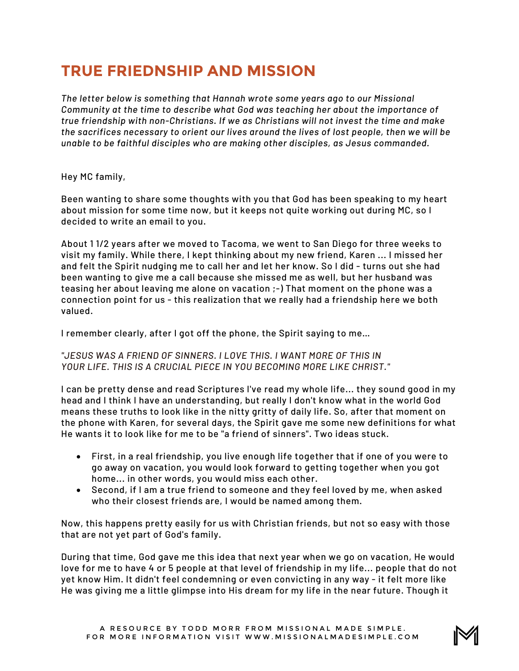## **TRUE FRIEDNSHIP AND MISSION**

*The letter below is something that Hannah wrote some years ago to our Missional Community at the time to describe what God was teaching her about the importance of true friendship with non-Christians. If we as Christians will not invest the time and make the sacrifices necessary to orient our lives around the lives of lost people, then we will be unable to be faithful disciples who are making other disciples, as Jesus commanded.*

Hey MC family,

Been wanting to share some thoughts with you that God has been speaking to my heart about mission for some time now, but it keeps not quite working out during MC, so I decided to write an email to you.

About 1 1/2 years after we moved to Tacoma, we went to San Diego for three weeks to visit my family. While there, I kept thinking about my new friend, Karen ... I missed her and felt the Spirit nudging me to call her and let her know. So I did - turns out she had been wanting to give me a call because she missed me as well, but her husband was teasing her about leaving me alone on vacation ;-) That moment on the phone was a connection point for us - this realization that we really had a friendship here we both valued.

I remember clearly, after I got off the phone, the Spirit saying to me…

*"JESUS WAS A FRIEND OF SINNERS. I LOVE THIS. I WANT MORE OF THIS IN YOUR LIFE. THIS IS A CRUCIAL PIECE IN YOU BECOMING MORE LIKE CHRIST."*

I can be pretty dense and read Scriptures I've read my whole life... they sound good in my head and I think I have an understanding, but really I don't know what in the world God means these truths to look like in the nitty gritty of daily life. So, after that moment on the phone with Karen, for several days, the Spirit gave me some new definitions for what He wants it to look like for me to be "a friend of sinners". Two ideas stuck.

- First, in a real friendship, you live enough life together that if one of you were to go away on vacation, you would look forward to getting together when you got home... in other words, you would miss each other.
- Second, if I am a true friend to someone and they feel loved by me, when asked who their closest friends are, I would be named among them.

Now, this happens pretty easily for us with Christian friends, but not so easy with those that are not yet part of God's family.

During that time, God gave me this idea that next year when we go on vacation, He would love for me to have 4 or 5 people at that level of friendship in my life... people that do not yet know Him. It didn't feel condemning or even convicting in any way - it felt more like He was giving me a little glimpse into His dream for my life in the near future. Though it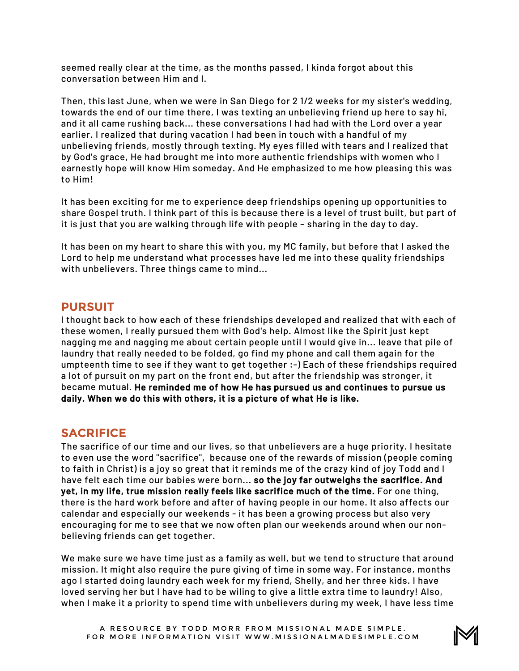seemed really clear at the time, as the months passed, I kinda forgot about this conversation between Him and I.

Then, this last June, when we were in San Diego for 2 1/2 weeks for my sister's wedding, towards the end of our time there, I was texting an unbelieving friend up here to say hi, and it all came rushing back... these conversations I had had with the Lord over a year earlier. I realized that during vacation I had been in touch with a handful of my unbelieving friends, mostly through texting. My eyes filled with tears and I realized that by God's grace, He had brought me into more authentic friendships with women who I earnestly hope will know Him someday. And He emphasized to me how pleasing this was to Him!

It has been exciting for me to experience deep friendships opening up opportunities to share Gospel truth. I think part of this is because there is a level of trust built, but part of it is just that you are walking through life with people – sharing in the day to day.

It has been on my heart to share this with you, my MC family, but before that I asked the Lord to help me understand what processes have led me into these quality friendships with unbelievers. Three things came to mind...

#### **PURSUIT**

I thought back to how each of these friendships developed and realized that with each of these women, I really pursued them with God's help. Almost like the Spirit just kept nagging me and nagging me about certain people until I would give in... leave that pile of laundry that really needed to be folded, go find my phone and call them again for the umpteenth time to see if they want to get together :-) Each of these friendships required a lot of pursuit on my part on the front end, but after the friendship was stronger, it became mutual. He reminded me of how He has pursued us and continues to pursue us daily. When we do this with others, it is a picture of what He is like.

### **SACRIFICE**

The sacrifice of our time and our lives, so that unbelievers are a huge priority. I hesitate to even use the word "sacrifice", because one of the rewards of mission (people coming to faith in Christ) is a joy so great that it reminds me of the crazy kind of joy Todd and I have felt each time our babies were born... so the joy far outweighs the sacrifice. And yet, in my life, true mission really feels like sacrifice much of the time. For one thing, there is the hard work before and after of having people in our home. It also affects our calendar and especially our weekends - it has been a growing process but also very encouraging for me to see that we now often plan our weekends around when our nonbelieving friends can get together.

We make sure we have time just as a family as well, but we tend to structure that around mission. It might also require the pure giving of time in some way. For instance, months ago I started doing laundry each week for my friend, Shelly, and her three kids. I have loved serving her but I have had to be wiling to give a little extra time to laundry! Also, when I make it a priority to spend time with unbelievers during my week, I have less time